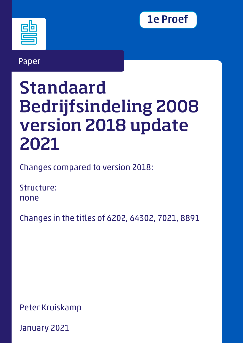

# Paper

# Standaard Bedrijfsindeling 2008 version 2018 update 2021

Changes compared to version 2018:

Structure: none

Changes in the titles of 6202, 64302, 7021, 8891

Peter Kruiskamp

January 2021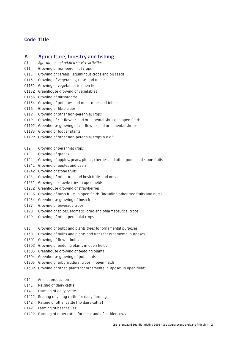### Code Title

#### A Agriculture, forestry and fishing

- *01 Agriculture and related service activities*
- 011 Growing of non-perennial crops
- 0111 Growing of cereals, leguminous crops and oil seeds
- 0113 Growing of vegetables, roots and tubers
- 01131 Growing of vegetables in open fields
- 01132 Greenhouse growing of vegetables
- 01133 Growing of mushrooms
- 01134 Growing of potatoes and other roots and tubers
- 0116 Growing of fibre crops
- 0119 Growing of other non-perennial crops
- 01191 Growing of cut flowers and ornamental shrubs in open fields
- 01192 Greenhouse growing of cut flowers and ornamental shrubs
- 01193 Growing of fodder plants
- 01199 Growing of other non-perennial crops n.e.c.\*
- 012 Growing of perennial crops
- 0121 Growing of grapes
- 0124 Growing of apples, pears, plums, cherries and other pome and stone fruits
- 01241 Growing of apples and pears
- 01242 Growing of stone fruits
- 0125 Growing of other tree and bush fruits and nuts
- 01251 Growing of strawberries in open fields
- 01252 Greenhouse growing of strawberries
- 01253 Growing of bush fruits in open fields (including other tree fruits and nuts)
- 01254 Greenhouse growing of bush fruits
- 0127 Growing of beverage crops
- 0128 Growing of spices, aromatic, drug and pharmaceutical crops
- 0129 Growing of other perennial crops
- 013 Growing of bulbs and plants trees for ornamental purposes
- 0130 Growing of bulbs and plants and trees for ornamental purposes
- 01301 Growing of flower bulbs
- 01302 Growing of bedding plants in open fields
- 01303 Greenhouse growing of bedding plants
- 01304 Greenhouse growing of pot plants
- 01305 Growing of arboricultural crops in open fields
- 01309 Growing of other plants for ornamental purposes in open fields
- 014 Animal production
- 0141 Raising of dairy cattle
- 01411 Farming of dairy cattle
- 01412 Rearing of young cattle for dairy farming
- 0142 Raising of other cattle (no dairy cattle)
- 01421 Farming of beef calves
- 01422 Farming of other cattle for meat and of suckler cows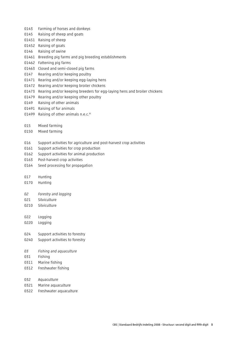- 0143 Farming of horses and donkeys
- 0145 Raising of sheep and goats
- 01451 Raising of sheep
- 01452 Raising of goats
- 0146 Raising of swine
- 01461 Breeding pig farms and pig breeding establishments
- 01462 Fattening pig farms
- 01463 Closed and semi-closed pig farms
- 0147 Rearing and/or keeping poultry
- 01471 Rearing and/or keeping egg-laying hens
- 01472 Rearing and/or keeping broiler chickens
- 01473 Rearing and/or keeping breeders for egg-laying hens and broiler chickens
- 01479 Rearing and/or keeping other poultry
- 0149 Raising of other animals
- 01491 Raising of fur animals
- 01499 Raising of other animals n.e.c.\*
- 015 Mixed farming
- 0150 Mixed farming
- 016 Support activities for agriculture and post-harvest crop activities
- 0161 Support activities for crop production
- 0162 Support activities for animal production
- 0163 Post-harvest crop activities
- 0164 Seed processing for propagation
- 017 Hunting
- 0170 Hunting
- *02 Forestry and logging*
- 021 Silviculture
- 0210 Silviculture
- 022 Logging
- 0220 Logging
- 024 Support activities to forestry
- 0240 Support activities to forestry
- *03 Fishing and aquaculture*
- 031 Fishing
- 0311 Marine fishing
- 0312 Freshwater fishing
- 032 Aquaculture
- 0321 Marine aquaculture
- 0322 Freshwater aquaculture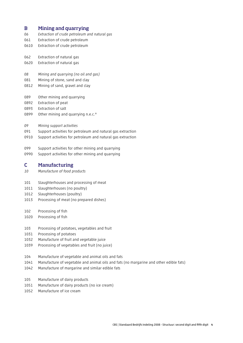#### B Mining and quarrying

- *06 Extraction of crude petroleum and natural gas*
- 061 Extraction of crude petroleum
- 0610 Extraction of crude petroleum
- 062 Extraction of natural gas
- 0620 Extraction of natural gas
- *08 Mining and quarrying (no oil and gas)*
- 081 Mining of stone, sand and clay
- 0812 Mining of sand, gravel and clay
- 089 Other mining and quarrying
- 0892 Extraction of peat
- 0893 Extraction of salt
- 0899 Other mining and quarrying n.e.c.\*
- *09 Mining support activities*
- 091 Support activities for petroleum and natural gas extraction
- 0910 Support activities for petroleum and natural gas extraction
- 099 Support activities for other mining and quarrying
- 0990 Support activities for other mining and quarrying

#### C Manufacturing

- *10 Manufacture of food products*
- 101 Slaughterhouses and processing of meat
- 1011 Slaughterhouses (no poultry)
- 1012 Slaughterhouses (poultry)
- 1013 Processing of meat (no prepared dishes)
- 102 Processing of fish
- 1020 Processing of fish
- 103 Processing of potatoes, vegetables and fruit
- 1031 Processing of potatoes
- 1032 Manufacture of fruit and vegetable juice
- 1039 Processing of vegetables and fruit (no juice)
- 104 Manufacture of vegetable and animal oils and fats
- 1041 Manufacture of vegetable and animal oils and fats (no margarine and other edible fats)
- 1042 Manufacture of margarine and similar edible fats
- 105 Manufacture of dairy products
- 1051 Manufacture of dairy products (no ice cream)
- 1052 Manufacture of ice cream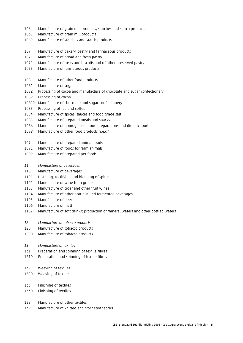- 106 Manufacture of grain mill products, starches and starch products
- 1061 Manufacture of grain mill products
- 1062 Manufacture of starches and starch products
- 107 Manufacture of bakery, pastry and farinaceous products
- 1071 Manufacture of bread and fresh pastry
- 1072 Manufacture of rusks and biscuits and of other preserved pastry
- 1073 Manufacture of farinaceous products
- 108 Manufacture of other food products
- 1081 Manufacture of sugar
- 1082 Processing of cocoa and manufacture of chocolate and sugar confectionery
- 10821 Processing of cocoa
- 10822 Manufacture of chocolate and sugar confectionery
- 1083 Processing of tea and coffee
- 1084 Manufacture of spices, sauces and food grade salt
- 1085 Manufacture of prepared meals and snacks
- 1086 Manufacture of homogenised food preparations and dietetic food
- 1089 Manufacture of other food products n.e.c.\*
- 109 Manufacture of prepared animal foods
- 1091 Manufacture of foods for farm animals
- 1092 Manufacture of prepared pet foods
- *11 Manufacture of beverages*
- 110 Manufacture of beverages
- 1101 Distilling, rectifying and blending of spirits
- 1102 Manufacture of wine from grape
- 1103 Manufacture of cider and other fruit wines
- 1104 Manufacture of other non-distilled fermented beverages
- 1105 Manufacture of beer
- 1106 Manufacture of malt
- 1107 Manufacture of soft drinks; production of mineral waters and other bottled waters
- *12 Manufacture of tobacco products*
- 120 Manufacture of tobacco products
- 1200 Manufacture of tobacco products
- *13 Manufacture of textiles*
- 131 Preparation and spinning of textile fibres
- 1310 Preparation and spinning of textile fibres
- 132 Weaving of textiles
- 1320 Weaving of textiles
- 133 Finishing of textiles
- 1330 Finishing of textiles
- 139 Manufacture of other textiles
- 1391 Manufacture of knitted and crocheted fabrics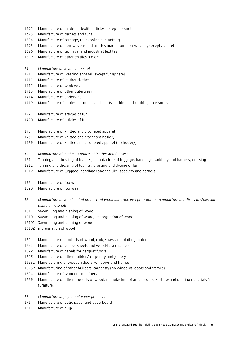- 1392 Manufacture of made-up textile articles, except apparel
- 1393 Manufacture of carpets and rugs
- 1394 Manufacture of cordage, rope, twine and netting
- 1395 Manufacture of non-wovens and articles made from non-wovens, except apparel
- 1396 Manufacture of technical and industrial textiles
- 1399 Manufacture of other textiles n.e.c.\*
- *14 Manufacture of wearing apparel*
- 141 Manufacture of wearing apparel, except fur apparel
- 1411 Manufacture of leather clothes
- 1412 Manufacture of work wear
- 1413 Manufacture of other outerwear
- 1414 Manufacture of underwear
- 1419 Manufacture of babies' garments and sports clothing and clothing accessories
- 142 Manufacture of articles of fur
- 1420 Manufacture of articles of fur
- 143 Manufacture of knitted and crocheted apparel
- 1431 Manufacture of knitted and crocheted hosiery
- 1439 Manufacture of knitted and crocheted apparel (no hosiery)
- *15 Manufacture of leather, products of leather and footwear*
- 151 Tanning and dressing of leather; manufacture of luggage, handbags, saddlery and harness; dressing
- 1511 Tanning and dressing of leather; dressing and dyeing of fur
- 1512 Manufacture of luggage, handbags and the like, saddlery and harness
- 152 Manufacture of footwear
- 1520 Manufacture of footwear
- *16 Manufacture of wood and of products of wood and cork, except furniture; manufacture of articles of straw and plaiting materials*
- 161 Sawmilling and planing of wood
- 1610 Sawmilling and planing of wood, impregnation of wood
- 16101 Sawmilling and planing of wood
- 16102 mpregnation of wood
- 162 Manufacture of products of wood, cork, straw and plaiting materials
- 1621 Manufacture of veneer sheets and wood-based panels
- 1622 Manufacture of panels for parquet floors
- 1623 Manufacture of other builders' carpentry and joinery
- 16231 Manufacturing of wooden doors, windows and frames
- 16239 Manufacturing of other builders' carpentry (no windows, doors and frames)
- 1624 Manufacture of wooden containers
- 1629 Manufacture of other products of wood; manufacture of articles of cork, straw and plaiting materials (no furniture)
- *17 Manufacture of paper and paper products*
- 171 Manufacture of pulp, paper and paperboard
- 1711 Manufacture of pulp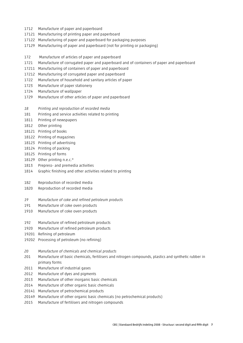- 1712 Manufacture of paper and paperboard
- 17121 Manufacturing of printing paper and paperboard
- 17122 Manufacturing of paper and paperboard for packaging purposes
- 17129 Manufacturing of paper and paperboard (not for printing or packaging)
- 172 Manufacture of articles of paper and paperboard
- 1721 Manufacture of corrugated paper and paperboard and of containers of paper and paperboard
- 17211 Manufacturing of containers of paper and paperboard
- 17212 Manufacturing of corrugated paper and paperboard
- 1722 Manufacture of household and sanitary articles of paper
- 1723 Manufacture of paper stationery
- 1724 Manufacture of wallpaper
- 1729 Manufacture of other articles of paper and paperboard
- *18 Printing and reproduction of recorded media*
- 181 Printing and service activities related to printing
- 1811 Printing of newspapers
- 1812 Other printing
- 18121 Printing of books
- 18122 Printing of magazines
- 18123 Printing of advertising
- 18124 Printing of packing
- 18125 Printing of forms
- 18129 Other printing n.e.c.\*
- 1813 Prepress- and premedia activities
- 1814 Graphic finishing and other activities related to printing
- 182 Reproduction of recorded media
- 1820 Reproduction of recorded media
- *19 Manufacture of coke and refined petroleum products*
- 191 Manufacture of coke oven products
- 1910 Manufacture of coke oven products
- 192 Manufacture of refined petroleum products
- 1920 Manufacture of refined petroleum products
- 19201 Refining of petroleum
- 19202 Processing of petroleum (no refining)
- *20 Manufacture of chemicals and chemical products*
- 201 Manufacture of basic chemicals, fertilisers and nitrogen compounds, plastics and synthetic rubber in primary forms
- 2011 Manufacture of industrial gases
- 2012 Manufacture of dyes and pigments
- 2013 Manufacture of other inorganic basic chemicals
- 2014 Manufacture of other organic basic chemicals
- 20141 Manufacture of petrochemical products
- 20149 Manufacture of other organic basic chemicals (no petrochemical products)
- 2015 Manufacture of fertilisers and nitrogen compounds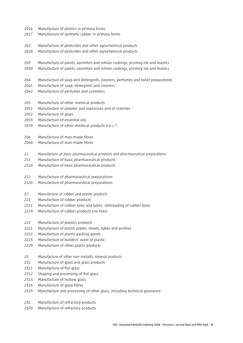- 2016 Manufacture of plastics in primary forms
- 2017 Manufacture of synthetic rubber in primary forms
- 202 Manufacture of pesticides and other agrochemical products
- 2020 Manufacture of pesticides and other agrochemical products
- 203 Manufacture of paints, varnishes and similar coatings, printing ink and mastics
- 2030 Manufacture of paints, varnishes and similar coatings, printing ink and mastics
- 204 Manufacture of soap and detergents, cleaners, perfumes and toilet preparations
- 2041 Manufacture of soap, detergents and cleaners
- 2042 Manufacture of perfumes and cosmetics
- 205 Manufacture of other chemical products
- 2051 Manufacture of powder and explosives and of matches
- 2052 Manufacture of glues
- 2053 Manufacture of essential oils
- 2059 Manufacture of other chemical products n.e.c.\*
- 206 Manufacture of man-made fibres
- 2060 Manufacture of man-made fibres
- *21 Manufacture of basic pharmaceutical products and pharmaceutical preparations*
- 211 Manufacture of basic pharmaceutical products
- 2110 Manufacture of basic pharmaceutical products
- 212 Manufacture of pharmaceutical preparations
- 2120 Manufacture of pharmaceutical preparations
- *22 Manufacture of rubber and plastic products*
- 221 Manufacture of rubber products
- 2211 Manufacture of rubber tyres and tubes; rethreading of rubber tyres
- 2219 Manufacture of rubber products (no tires)
- 222 Manufacture of plastics products
- 2221 Manufacture of plastic plates, sheets, tubes and profiles
- 2222 Manufacture of plastic packing goods
- 2223 Manufacture of builders' ware of plastic
- 2229 Manufacture of other plastic products
- *23 Manufacture of other non-metallic mineral products*
- 231 Manufacture of glass and glass products
- 2311 Manufacture of flat glass
- 2312 Shaping and processing of flat glass
- 2313 Manufacture of hollow glass
- 2314 Manufacture of glass fibres
- 2319 Manufacture and processing of other glass, including technical glassware
- 232 Manufacture of refractory products
- 2320 Manufacture of refractory products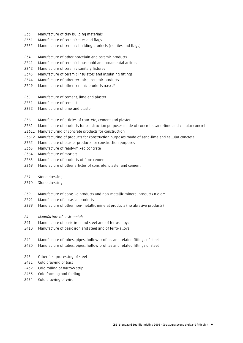- 233 Manufacture of clay building materials
- 2331 Manufacture of ceramic tiles and flags
- 2332 Manufacture of ceramic building products (no tiles and flags)
- 234 Manufacture of other porcelain and ceramic products
- 2341 Manufacture of ceramic household and ornamental articles
- 2342 Manufacture of ceramic sanitary fixtures
- 2343 Manufacture of ceramic insulators and insulating fittings
- 2344 Manufacture of other technical ceramic products
- 2349 Manufacture of other ceramic products n.e.c.\*
- 235 Manufacture of cement, lime and plaster
- 2351 Manufacture of cement
- 2352 Manufacture of lime and plaster
- 236 Manufacture of articles of concrete, cement and plaster
- 2361 Manufacture of products for construction purposes made of concrete, sand-lime and cellular concrete
- 23611 Manufacturing of concrete products for construction
- 23612 Manufacturing of products for construction purposes made of sand-lime and cellular concrete
- 2362 Manufacture of plaster products for construction purposes
- 2363 Manufacture of ready-mixed concrete
- 2364 Manufacture of mortars
- 2365 Manufacture of products of fibre cement
- 2369 Manufacture of other articles of concrete, plaster and cement
- 237 Stone dressing
- 2370 Stone dressing
- 239 Manufacture of abrasive products and non-metallic mineral products n.e.c.\*
- 2391 Manufacture of abrasive products
- 2399 Manufacture of other non-metallic mineral products (no abrasive products)
- *24 Manufacture of basic metals*
- 241 Manufacture of basic iron and steel and of ferro-alloys
- 2410 Manufacture of basic iron and steel and of ferro-alloys
- 242 Manufacture of tubes, pipes, hollow profiles and related fittings of steel
- 2420 Manufacture of tubes, pipes, hollow profiles and related fittings of steel
- 243 Other first processing of steel
- 2431 Cold drawing of bars
- 2432 Cold rolling of narrow strip
- 2433 Cold forming and folding
- 2434 Cold drawing of wire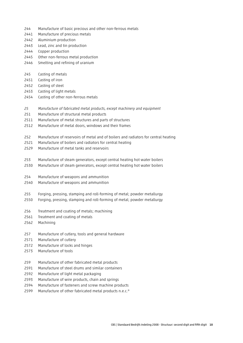- 244 Manufacture of basic precious and other non-ferrous metals
- 2441 Manufacture of precious metals
- 2442 Aluminium production
- 2443 Lead, zinc and tin production
- 2444 Copper production
- 2445 Other non-ferrous metal production
- 2446 Smelting and refining of uranium
- 245 Casting of metals
- 2451 Casting of iron
- 2452 Casting of steel
- 2453 Casting of light metals
- 2454 Casting of other non-ferrous metals
- *25 Manufacture of fabricated metal products, except machinery and equipment*
- 251 Manufacture of structural metal products
- 2511 Manufacture of metal structures and parts of structures
- 2512 Manufacture of metal doors, windows and their frames
- 252 Manufacture of reservoirs of metal and of boilers and radiators for central heating
- 2521 Manufacture of boilers and radiators for central heating
- 2529 Manufacture of metal tanks and reservoirs
- 253 Manufacture of steam generators, except central heating hot water boilers
- 2530 Manufacture of steam generators, except central heating hot water boilers
- 254 Manufacture of weapons and ammunition
- 2540 Manufacture of weapons and ammunition
- 255 Forging, pressing, stamping and roll-forming of metal; powder metallurgy
- 2550 Forging, pressing, stamping and roll-forming of metal; powder metallurgy
- 256 Treatment and coating of metals; machining
- 2561 Treatment and coating of metals
- 2562 Machining
- 257 Manufacture of cutlery, tools and general hardware
- 2571 Manufacture of cutlery
- 2572 Manufacture of locks and hinges
- 2573 Manufacture of tools
- 259 Manufacture of other fabricated metal products
- 2591 Manufacture of steel drums and similar containers
- 2592 Manufacture of light metal packaging
- 2593 Manufacture of wire products, chain and springs
- 2594 Manufacture of fasteners and screw machine products
- 2599 Manufacture of other fabricated metal products n.e.c.\*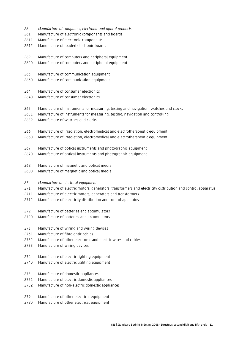- *26 Manufacture of computers, electronic and optical products*
- 261 Manufacture of electronic components and boards
- 2611 Manufacture of electronic components
- 2612 Manufacture of loaded electronic boards
- 262 Manufacture of computers and peripheral equipment
- 2620 Manufacture of computers and peripheral equipment
- 263 Manufacture of communication equipment
- 2630 Manufacture of communication equipment
- 264 Manufacture of consumer electronics
- 2640 Manufacture of consumer electronics
- 265 Manufacture of instruments for measuring, testing and navigation; watches and clocks
- 2651 Manufacture of instruments for measuring, testing, navigation and controlling
- 2652 Manufacture of watches and clocks
- 266 Manufacture of irradiation, electromedical and electrotherapeutic equipment
- 2660 Manufacture of irradiation, electromedical and electrotherapeutic equipment
- 267 Manufacture of optical instruments and photographic equipment
- 2670 Manufacture of optical instruments and photographic equipment
- 268 Manufacture of magnetic and optical media
- 2680 Manufacture of magnetic and optical media

#### *27 Manufacture of electrical equipment*

- 271 Manufacture of electric motors, generators, transformers and electricity distribution and control apparatus
- 2711 Manufacture of electric motors, generators and transformers
- 2712 Manufacture of electricity distribution and control apparatus
- 272 Manufacture of batteries and accumulators
- 2720 Manufacture of batteries and accumulators
- 273 Manufacture of wiring and wiring devices
- 2731 Manufacture of fibre optic cables
- 2732 Manufacture of other electronic and electric wires and cables
- 2733 Manufacture of wiring devices
- 274 Manufacture of electric lighting equipment
- 2740 Manufacture of electric lighting equipment
- 275 Manufacture of domestic appliances
- 2751 Manufacture of electric domestic appliances
- 2752 Manufacture of non-electric domestic appliances
- 279 Manufacture of other electrical equipment
- 2790 Manufacture of other electrical equipment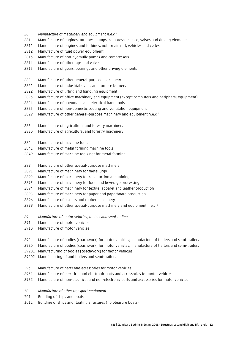- *28 Manufacture of machinery and equipment n.e.c.\**
- 281 Manufacture of engines, turbines, pumps, compressors, taps, valves and driving elements
- 2811 Manufacture of engines and turbines, not for aircraft, vehicles and cycles
- 2812 Manufacture of fluid power equipment
- 2813 Manufacture of non-hydraulic pumps and compressors
- 2814 Manufacture of other taps and valves
- 2815 Manufacture of gears, bearings and other driving elements
- 282 Manufacture of other general-purpose machinery
- 2821 Manufacture of industrial ovens and furnace burners
- 2822 Manufacture of lifting and handling equipment
- 2823 Manufacture of office machinery and equipment (except computers and peripheral equipment)
- 2824 Manufacture of pneumatic and electrical hand tools
- 2825 Manufacture of non-domestic cooling and ventilation equipment
- 2829 Manufacture of other general-purpose machinery and equipment n.e.c.\*
- 283 Manufacture of agricultural and forestry machinery
- 2830 Manufacture of agricultural and forestry machinery
- 284 Manufacture of machine tools
- 2841 Manufacture of metal forming machine tools
- 2849 Manufacture of machine tools not for metal forming
- 289 Manufacture of other special-purpose machinery
- 2891 Manufacture of machinery for metallurgy
- 2892 Manufacture of machinery for construction and mining
- 2893 Manufacture of machinery for food and beverage processing
- 2894 Manufacture of machinery for textile, apparel and leather production
- 2895 Manufacture of machinery for paper and paperboard production
- 2896 Manufacture of plastics and rubber machinery
- 2899 Manufacture of other special-purpose machinery and equipment n.e.c.\*
- *29 Manufacture of motor vehicles, trailers and semi-trailers*
- 291 Manufacture of motor vehicles
- 2910 Manufacture of motor vehicles
- 292 Manufacture of bodies (coachwork) for motor vehicles; manufacture of trailers and semi-trailers
- 2920 Manufacture of bodies (coachwork) for motor vehicles; manufacture of trailers and semi-trailers
- 29201 Manufacturing of bodies (coachwork) for motor vehicles
- 29202 Manufacturing of and trailers and semi-trailers
- 293 Manufacture of parts and accessories for motor vehicles
- 2931 Manufacture of electrical and electronic parts and accessories for motor vehicles
- 2932 Manufacture of non-electrical and non-electronic parts and accessories for motor vehicles
- *30 Manufacture of other transport equipment*
- 301 Building of ships and boats
- 3011 Building of ships and floating structures (no pleasure boats)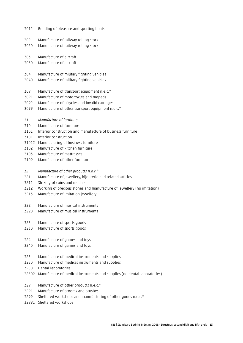| 3012  | Building of pleasure and sporting boats                                  |
|-------|--------------------------------------------------------------------------|
| 302   | Manufacture of railway rolling stock                                     |
| 3020  | Manufacture of railway rolling stock                                     |
| 303   | Manufacture of aircraft                                                  |
| 3030  | Manufacture of aircraft                                                  |
| 304   | Manufacture of military fighting vehicles                                |
| 3040  | Manufacture of military fighting vehicles                                |
| 309   | Manufacture of transport equipment n.e.c.*                               |
| 3091  | Manufacture of motorcycles and mopeds                                    |
| 3092  | Manufacture of bicycles and invalid carriages                            |
| 3099  | Manufacture of other transport equipment n.e.c.*                         |
| 31    | Manufacture of furniture                                                 |
| 310   | Manufacture of furniture                                                 |
| 3101  | Interior construction and manufacture of business furniture              |
| 31011 | Interior construction                                                    |
| 31012 | Manufacturing of business furniture                                      |
| 3102  | Manufacture of kitchen furniture                                         |
| 3103  | Manufacture of mattresses                                                |
| 3109  | Manufacture of other furniture                                           |
| 32    | Manufacture of other products n.e.c.*                                    |
| 321   | Manufacture of jewellery, bijouterie and related articles                |
| 3211  | Striking of coins and medals                                             |
| 3212  | Working of precious stones and manufacture of jewellery (no imitation)   |
| 3213  | Manufacture of imitation jewellery                                       |
| 322   | Manufacture of musical instruments                                       |
| 3220  | Manufacture of musical instruments                                       |
| 323   | Manufacture of sports goods                                              |
| 3230  | Manufacture of sports goods                                              |
| 324   | Manufacture of games and toys                                            |
| 3240  | Manufacture of games and toys                                            |
| 325   | Manufacture of medical instruments and supplies                          |
| 3250  | Manufacture of medical instruments and supplies                          |
| 32501 | Dental laboratories                                                      |
| 32502 | Manufacture of medical instruments and supplies (no dental laboratories) |
| 329   | Manufacture of other products n.e.c.*                                    |
| 3291  | Manufacture of brooms and brushes                                        |
| 3299  | Sheltered workshops and manufacturing of other goods n.e.c.*             |

32991 Sheltered workshops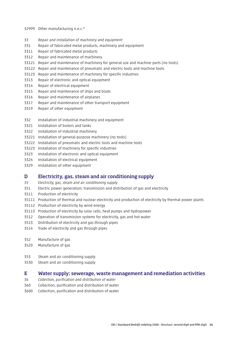- 32999 Other manufacturing n.e.c.\*
- *33 Repair and installation of machinery and equipment*
- 331 Repair of fabricated metal products, machinery and equipment
- 3311 Repair of fabricated metal products
- 3312 Repair and maintenance of machinery
- 33121 Repair and maintenance of machinery for general use and machine parts (no tools)
- 33122 Repair and maintenance of pneumatic and electric tools and machine tools
- 33123 Repair and maintenance of machinery for specific industries
- 3313 Repair of electronic and optical equipment
- 3314 Repair of electrical equipment
- 3315 Repair and maintenance of ships and boats
- 3316 Repair and maintenance of airplanes
- 3317 Repair and maintenance of other transport equipment
- 3319 Repair of other equipment
- 332 Installation of industrial machinery and equipment
- 3321 Installation of boilers and tanks
- 3322 Installation of industrial machinery
- 33221 Installation of general-purpose machinery (no tools)
- 33222 Installation of pneumatic and electric tools and machine tools
- 33223 Installation of machinery for specific industries
- 3323 Installation of electronic and optical equipment
- 3324 Installation of electrical equipment
- 3329 Installation of other equipment

#### D Electricity, gas, steam and air conditioning supply

- *35 Electricity, gas, steam and air conditioning supply*
- 351 Electric power generation; transmission and distribution of gas and electricity
- 3511 Production of electricity
- 35111 Production of thermal and nuclear electricity and production of electricity by thermal power plants
- 35112 Production of electricity by wind energy
- 35113 Production of electricity by solar cells, heat pumps and hydropower
- 3512 Operation of transmission systems for electricity, gas and hot water
- 3513 Distribution of electricity and gas through pipes
- 3514 Trade of electricity and gas through pipes
- 352 Manufacture of gas
- 3520 Manufacture of gas
- 353 Steam and air conditioning supply
- 3530 Steam and air conditioning supply

#### E Water supply; sewerage, waste management and remediation activities

- *36 Collection, purification and distribution of water*
- 360 Collection, purification and distribution of water
- 3600 Collection, purification and distribution of water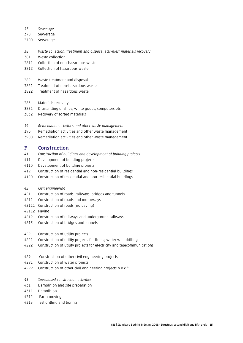*37 Sewerage* 

- 370 Sewerage
- 3700 Sewerage
- *38 Waste collection, treatment and disposal activities; materials recovery*
- 381 Waste collection
- 3811 Collection of non-hazardous waste
- 3812 Collection of hazardous waste
- 382 Waste treatment and disposal
- 3821 Treatment of non-hazardous waste
- 3822 Treatment of hazardous waste
- 383 Materials recovery
- 3831 Dismantling of ships, white goods, computers etc.
- 3832 Recovery of sorted materials
- *39 Remediation activities and other waste management*
- 390 Remediation activities and other waste management
- 3900 Remediation activities and other waste management

#### F Construction

- *41 Construction of buildings and development of building projects*
- 411 Development of building projects
- 4110 Development of building projects
- 412 Construction of residential and non-residential buildings
- 4120 Construction of residential and non-residential buildings
- *42 Civil engineering*
- 421 Construction of roads, railways, bridges and tunnels
- 4211 Construction of roads and motorways
- 42111 Construction of roads (no paving)
- 42112 Paving
- 4212 Construction of railways and underground railways
- 4213 Construction of bridges and tunnels
- 422 Construction of utility projects
- 4221 Construction of utility projects for fluids; water well drilling
- 4222 Construction of utility projects for electricity and telecommunications
- 429 Construction of other civil engineering projects
- 4291 Construction of water projects
- 4299 Construction of other civil engineering projects n.e.c.\*
- *43 Specialised construction activities*
- 431 Demolition and site preparation
- 4311 Demolition
- 4312 Earth moving
- 4313 Test drilling and boring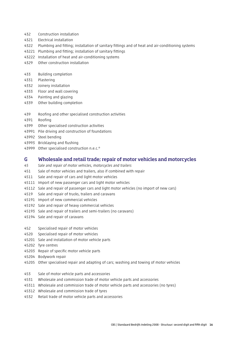- 432 Construction installation
- 4321 Electrical installation
- 4322 Plumbing and fitting; installation of sanitary fittings and of heat and air-conditioning systems
- 43221 Plumbing and fitting; installation of sanitary fittings
- 43222 Installation of heat and air-conditioning systems
- 4329 Other construction installation
- 433 Building completion
- 4331 Plastering
- 4332 Joinery installation
- 4333 Floor and wall covering
- 4334 Painting and glazing
- 4339 Other building completion
- 439 Roofing and other specialised construction activities
- 4391 Roofing
- 4399 Other specialised construction activities
- 43991 Pile driving and construction of foundations
- 43992 Steel bending
- 43993 Bricklaying and flushing
- 43999 Other specialised construction n.e.c.\*

#### G Wholesale and retail trade; repair of motor vehicles and motorcycles

- *45 Sale and repair of motor vehicles, motorcycles and trailers*
- 451 Sale of motor vehicles and trailers, also if combined with repair
- 4511 Sale and repair of cars and light motor vehicles
- 45111 Import of new passenger cars and light motor vehicles
- 45112 Sale and repair of passenger cars and light motor vehicles (no import of new cars)
- 4519 Sale and repair of trucks, trailers and caravans
- 45191 Import of new commercial vehicles
- 45192 Sale and repair of heavy commercial vehicles
- 45193 Sale and repair of trailers and semi-trailers (no caravans)
- 45194 Sale and repair of caravans
- 452 Specialised repair of motor vehicles
- 4520 Specialised repair of motor vehicles
- 45201 Sale and installation of motor vehicle parts
- 45202 Tyre centres
- 45203 Repair of specific motor vehicle parts
- 45204 Bodywork repair
- 45205 Other specialised repair and adapting of cars; washing and towing of motor vehicles
- 453 Sale of motor vehicle parts and accessories
- 4531 Wholesale and commission trade of motor vehicle parts and accessories
- 45311 Wholesale and commission trade of motor vehicle parts and accessories (no tyres)
- 45312 Wholesale and commission trade of tyres
- 4532 Retail trade of motor vehicle parts and accessories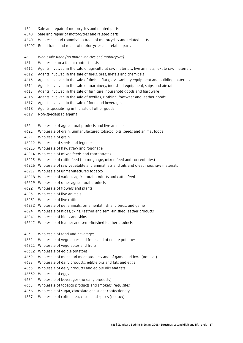- 454 Sale and repair of motorcycles and related parts
- 4540 Sale and repair of motorcycles and related parts
- 45401 Wholesale and commission trade of motorcycles and related parts
- 45402 Retail trade and repair of motorcycles and related parts
- *46 Wholesale trade (no motor vehicles and motorcycles)*
- 461 Wholesale on a fee or contract basis
- 4611 Agents involved in the sale of agricultural raw materials, live animals, textile raw materials
- 4612 Agents involved in the sale of fuels, ores, metals and chemicals
- 4613 Agents involved in the sale of timber, flat glass, sanitary equipment and building materials
- 4614 Agents involved in the sale of machinery, industrial equipment, ships and aircraft
- 4615 Agents involved in the sale of furniture, household goods and hardware
- 4616 Agents involved in the sale of textiles, clothing, footwear and leather goods
- 4617 Agents involved in the sale of food and beverages
- 4618 Agents specialising in the sale of other goods
- 4619 Non-specialised agents
- 462 Wholesale of agricultural products and live animals
- 4621 Wholesale of grain, unmanufactured tobacco, oils, seeds and animal foods
- 46211 Wholesale of grain
- 46212 Wholesale of seeds and legumes
- 46213 Wholesale of hay, straw and roughage
- 46214 Wholesale of mixed feeds and concentrates
- 46215 Wholesale of cattle feed (no roughage, mixed feed and concentrates)
- 46216 Wholesale of raw vegetable and animal fats and oils and oleaginous raw materials
- 46217 Wholesale of unmanufactured tobacco
- 46218 Wholesale of various agricultural products and cattle feed
- 46219 Wholesale of other agricultural products
- 4622 Wholesale of flowers and plants
- 4623 Wholesale of live animals
- 46231 Wholesale of live cattle
- 46232 Wholesale of pet animals, ornamental fish and birds, and game
- 4624 Wholesale of hides, skins, leather and semi-finished leather products
- 46241 Wholesale of hides and skins
- 46242 Wholesale of leather and semi-finished leather products
- 463 Wholesale of food and beverages
- 4631 Wholesale of vegetables and fruits and of edible potatoes
- 46311 Wholesale of vegetables and fruits
- 46312 Wholesale of edible potatoes
- 4632 Wholesale of meat and meat products and of game and fowl (not live)
- 4633 Wholesale of dairy products, edible oils and fats and eggs
- 46331 Wholesale of dairy products and edible oils and fats
- 46332 Wholesale of eggs
- 4634 Wholesale of beverages (no dairy products)
- 4635 Wholesale of tobacco products and smokers' requisites
- 4636 Wholesale of sugar, chocolate and sugar confectionery
- 4637 Wholesale of coffee, tea, cocoa and spices (no raw)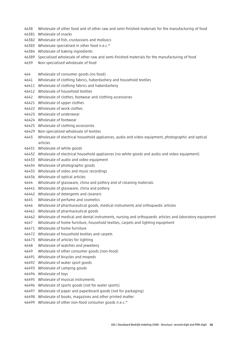- 4638 Wholesale of other food and of other raw and semi-finished materials for the manufacturing of food
- 46381 Wholesale of snacks
- 46382 Wholesale of fish, crustaceans and molluscs
- 46383 Wholesale specialised in other food n.e.c.\*
- 46384 Wholesale of baking ingredients
- 46389 Specialised wholesale of other raw and semi-finished materials for the manufacturing of food
- 4639 Non-specialised wholesale of food
- 464 Wholesale of consumer goods (no food)
- 4641 Wholesale of clothing fabrics, haberdashery and household textiles
- 46411 Wholesale of clothing fabrics and haberdashery
- 46412 Wholesale of household textiles
- 4642 Wholesale of clothes, footwear and clothing accessories
- 46421 Wholesale of upper clothes
- 46422 Wholesale of work clothes
- 46423 Wholesale of underwear
- 46424 Wholesale of footwear
- 46425 Wholesale of clothing accessories
- 46429 Non-specialised wholesale of textiles
- 4643 Wholesale of electrical household appliances, audio and video equipment, photographic and optical articles
- 46431 Wholesale of white goods
- 46432 Wholesale of electrical household appliances (no white goods and audio and video equipment)
- 46433 Wholesale of audio and video equipment
- 46434 Wholesale of photographic goods
- 46435 Wholesale of video and music recordings
- 46436 Wholesale of optical articles
- 4644 Wholesale of glassware, china and pottery and of cleaning materials
- 46441 Wholesale of glassware, china and pottery
- 46442 Wholesale of detergents and cleaners
- 4645 Wholesale of perfume and cosmetics
- 4646 Wholesale of pharmaceutical goods, medical instruments and orthopaedic articles
- 46461 Wholesale of pharmaceutical goods
- 46462 Wholesale of medical and dental instruments, nursing and orthopaedic articles and laboratory equipment
- 4647 Wholesale of home furniture, household textiles, carpets and lighting equipment
- 46471 Wholesale of home furniture
- 46472 Wholesale of household textiles and carpets
- 46473 Wholesale of articles for lighting
- 4648 Wholesale of watches and jewellery
- 4649 Wholesale of other consumer goods (non-food)
- 46491 Wholesale of bicycles and mopeds
- 46492 Wholesale of water sport goods
- 46493 Wholesale of camping goods
- 46494 Wholesale of toys
- 46495 Wholesale of musical instruments
- 46496 Wholesale of sports goods (not for water sports)
- 46497 Wholesale of paper and paperboard goods (not for packaging)
- 46498 Wholesale of books, magazines and other printed matter
- 46499 Wholesale of other non-food consumer goods n.e.c.\*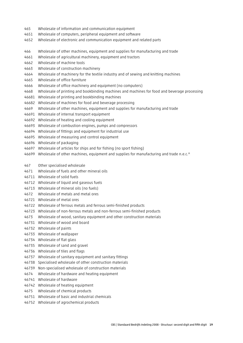- 465 Wholesale of information and communication equipment
- 4651 Wholesale of computers, peripheral equipment and software
- 4652 Wholesale of electronic and communication equipment and related parts
- 466 Wholesale of other machines, equipment and supplies for manufacturing and trade
- 4661 Wholesale of agricultural machinery, equipment and tractors
- 4662 Wholesale of machine tools
- 4663 Wholesale of construction machinery
- 4664 Wholesale of machinery for the textile industry and of sewing and knitting machines
- 4665 Wholesale of office furniture
- 4666 Wholesale of office machinery and equipment (no computers)
- 4668 Wholesale of printing and bookbinding machines and machines for food and beverage processing
- 46681 Wholesale of printing and bookbinding machines
- 46682 Wholesale of machines for food and beverage processing
- 4669 Wholesale of other machines, equipment and supplies for manufacturing and trade
- 46691 Wholesale of internal transport equipment
- 46692 Wholesale of heating and cooling equipment
- 46693 Wholesale of combustion engines, pumps and compressors
- 46694 Wholesale of fittings and equipment for industrial use
- 46695 Wholesale of measuring and control equipment
- 46696 Wholesale of packaging
- 46697 Wholesale of articles for ships and for fishing (no sport fishing)
- 46699 Wholesale of other machines, equipment and supplies for manufacturing and trade n.e.c.\*
- 467 Other specialised wholesale
- 4671 Wholesale of fuels and other mineral oils
- 46711 Wholesale of solid fuels
- 46712 Wholesale of liquid and gaseous fuels
- 46713 Wholesale of mineral oils (no fuels)
- 4672 Wholesale of metals and metal ores
- 46721 Wholesale of metal ores
- 46722 Wholesale of ferrous metals and ferrous semi-finished products
- 46723 Wholesale of non-ferrous metals and non-ferrous semi-finished products
- 4673 Wholesale of wood, sanitary equipment and other construction materials
- 46731 Wholesale of wood and board
- 46732 Wholesale of paints
- 46733 Wholesale of wallpaper
- 46734 Wholesale of flat glass
- 46735 Wholesale of sand and gravel
- 46736 Wholesale of tiles and flags
- 46737 Wholesale of sanitary equipment and sanitary fittings
- 46738 Specialised wholesale of other construction materials
- 46739 Non-specialised wholesale of construction materials
- 4674 Wholesale of hardware and heating equipment
- 46741 Wholesale of hardware
- 46742 Wholesale of heating equipment
- 4675 Wholesale of chemical products
- 46751 Wholesale of basic and industrial chemicals
- 46752 Wholesale of agrochemical products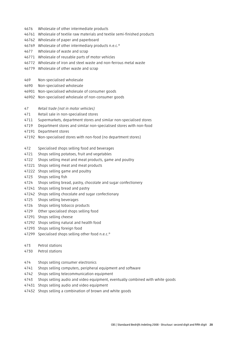- 4676 Wholesale of other intermediate products
- 46761 Wholesale of textile raw materials and textile semi-finished products
- 46762 Wholesale of paper and paperboard
- 46769 Wholesale of other intermediary products n.e.c.\*
- 4677 Wholesale of waste and scrap
- 46771 Wholesale of reusable parts of motor vehicles
- 46772 Wholesale of iron and steel waste and non-ferrous metal waste
- 46779 Wholesale of other waste and scrap
- 469 Non-specialised wholesale
- 4690 Non-specialised wholesale
- 46901 Non-specialised wholesale of consumer goods
- 46902 Non-specialised wholesale of non-consumer goods
- *47 Retail trade (not in motor vehicles)*
- 471 Retail sale in non-specialised stores
- 4711 Supermarkets, department stores and similar non-specialised stores
- 4719 Department stores and similar non-specialised stores with non-food
- 47191 Department stores
- 47192 Non-specialised stores with non-food (no department stores)
- 472 Specialised shops selling food and beverages
- 4721 Shops selling potatoes, fruit and vegetables
- 4722 Shops selling meat and meat products, game and poultry
- 47221 Shops selling meat and meat products
- 47222 Shops selling game and poultry
- 4723 Shops selling fish
- 4724 Shops selling bread, pastry, chocolate and sugar confectionery
- 47241 Shops selling bread and pastry
- 47242 Shops selling chocolate and sugar confectionary
- 4725 Shops selling beverages
- 4726 Shops selling tobacco products
- 4729 Other specialised shops selling food
- 47291 Shops selling cheese
- 47292 Shops selling natural and health food
- 47293 Shops selling foreign food
- 47299 Specialised shops selling other food n.e.c.\*
- 473 Petrol stations
- 4730 Petrol stations
- 474 Shops selling consumer electronics
- 4741 Shops selling computers, peripheral equipment and software
- 4742 Shops selling telecommunication equipment
- 4743 Shops selling audio and video equipment, eventually combined with white goods
- 47431 Shops selling audio and video equipment
- 47432 Shops selling a combination of brown and white goods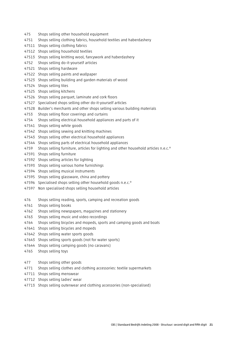- 475 Shops selling other household equipment
- 4751 Shops selling clothing fabrics, household textiles and haberdashery
- 47511 Shops selling clothing fabrics
- 47512 Shops selling household textiles
- 47513 Shops selling knitting wool, fancywork and haberdashery
- 4752 Shops selling do-it-yourself articles
- 47521 Shops selling hardware
- 47522 Shops selling paints and wallpaper
- 47523 Shops selling building and garden materials of wood
- 47524 Shops selling tiles
- 47525 Shops selling kitchens
- 47526 Shops selling parquet, laminate and cork floors
- 47527 Specialised shops selling other do-it-yourself articles
- 47528 Builder's merchants and other shops selling various building materials
- 4753 Shops selling floor coverings and curtains
- 4754 Shops selling electrical household appliances and parts of it
- 47541 Shops selling white goods
- 47542 Shops selling sewing and knitting machines
- 47543 Shops selling other electrical household appliances
- 47544 Shops selling parts of electrical household appliances
- 4759 Shops selling furniture, articles for lighting and other household articles n.e.c.\*
- 47591 Shops selling furniture
- 47592 Shops selling articles for lighting
- 47593 Shops selling various home furnishings
- 47594 Shops selling musical instruments
- 47595 Shops selling glassware, china and pottery
- 47596 Specialised shops selling other household goods n.e.c.\*
- 47597 Non specialised shops selling household articles
- 476 Shops selling reading, sports, camping and recreation goods
- 4761 Shops selling books
- 4762 Shops selling newspapers, magazines and stationery
- 4763 Shops selling music and video recordings
- 4764 Shops selling bicycles and mopeds, sports and camping goods and boats
- 47641 Shops selling bicycles and mopeds
- 47642 Shops selling water sports goods
- 47643 Shops selling sports goods (not for water sports)
- 47644 Shops selling camping goods (no caravans)
- 4765 Shops selling toys
- 477 Shops selling other goods
- 4771 Shops selling clothes and clothing accessories: textile supermarkets
- 47711 Shops selling menswear
- 47712 Shops selling ladies' wear
- 47713 Shops selling outerwear and clothing accessories (non-specialised)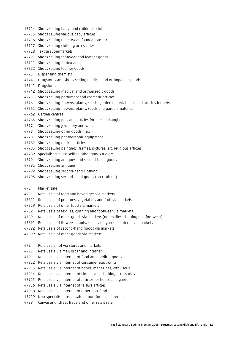- 47714 Shops selling baby- and children's clothes
- 47715 Shops selling various baby articles
- 47716 Shops selling underwear, foundations etc.
- 47717 Shops selling clothing accessories
- 47718 Textile supermarkets
- 4772 Shops selling footwear and leather goods
- 47721 Shops selling footwear
- 47722 Shops selling leather goods
- 4773 Dispensing chemists
- 4774 Drugstores and shops selling medical and orthopaedic goods
- 47741 Drugstores
- 47742 Shops selling medical and orthopaedic goods
- 4775 Shops selling perfumery and cosmetic articles
- 4776 Shops selling flowers, plants, seeds, garden material, pets and articles for pets
- 47761 Shops selling flowers, plants, seeds and garden material
- 47762 Garden centres
- 47763 Shops selling pets and articles for pets and angling
- 4777 Shops selling jewellery and watches
- 4778 Shops selling other goods n.e.c.\*
- 47781 Shops selling photographic equipment
- 47782 Shops selling optical articles
- 47783 Shops selling paintings, frames, pictures, art, religious articles
- 47789 Specialised shops selling other goods n.e.c.\*
- 4779 Shops selling antiques and second-hand goods
- 47791 Shops selling antiques
- 47792 Shops selling second-hand clothing
- 47793 Shops selling second-hand goods (no clothing)
- 478 Market sale
- 4781 Retail sale of food and beverages via markets
- 47811 Retail sale of potatoes, vegetables and fruit via markets
- 47819 Retail sale of other food via markets
- 4782 Retail sale of textiles, clothing and footwear via markets
- 4789 Retail sale of other goods via markets (no textiles, clothing and footwear)
- 47891 Retail sale of flowers, plants, seeds and garden material via markets
- 47892 Retail sale of second-hand goods via markets
- 47899 Retail sale of other goods via markets
- 479 Retail sale not via stores and markets
- 4791 Retail sale via mail order and internet
- 47911 Retail sale via internet of food and medical goods
- 47912 Retail sale via internet of consumer electronics
- 47913 Retail sale via internet of books, magazines, cd's, DVDs
- 47914 Retail sale via internet of clothes and clothing accessories
- 47915 Retail sale via internet of articles for house and garden
- 47916 Retail sale via internet of leisure articles
- 47918 Retail sale via internet of other non-food
- 47919 Non-specialised retail sale of non-food via internet
- 4799 Canvassing, street trade and other retail sale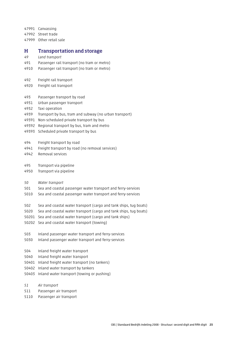47991 Canvassing

47992 Street trade

47999 Other retail sale

#### H Transportation and storage

- *49 Land transport*
- 491 Passenger rail transport (no tram or metro)
- 4910 Passenger rail transport (no tram or metro)
- 492 Freight rail transport
- 4920 Freight rail transport
- 493 Passenger transport by road
- 4931 Urban passenger transport
- 4932 Taxi operation
- 4939 Transport by bus, tram and subway (no urban transport)
- 49391 Non-scheduled private transport by bus
- 49392 Regional transport by bus, tram and metro
- 49393 Scheduled private transport by bus
- 494 Freight transport by road
- 4941 Freight transport by road (no removal services)
- 4942 Removal services
- 495 Transport via pipeline
- 4950 Transport via pipeline
- *50 Water transport*
- 501 Sea and coastal passenger water transport and ferry-services
- 5010 Sea and coastal passenger water transport and ferry-services
- 502 Sea and coastal water transport (cargo and tank ships, tug boats)
- 5020 Sea and coastal water transport (cargo and tank ships, tug boats)
- 50201 Sea and coastal water transport (cargo and tank ships)
- 50202 Sea and coastal water transport (towing)
- 503 Inland passenger water transport and ferry-services
- 5030 Inland passenger water transport and ferry-services
- 504 Inland freight water transport
- 5040 Inland freight water transport
- 50401 Inland freight water transport (no tankers)
- 50402 Inland water transport by tankers
- 50403 Inland water transport (towing or pushing)
- *51 Air transport*
- 511 Passenger air transport
- 5110 Passenger air transport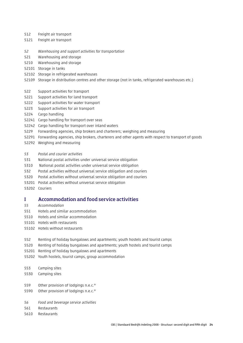- 512 Freight air transport
- 5121 Freight air transport
- *52 Warehousing and support activities for transportation*
- 521 Warehousing and storage
- 5210 Warehousing and storage
- 52101 Storage in tanks
- 52102 Storage in refrigerated warehouses
- 52109 Storage in distribution centres and other storage (not in tanks, refrigerated warehouses etc.)
- 522 Support activities for transport
- 5221 Support activities for land transport
- 5222 Support activities for water transport
- 5223 Support activities for air transport
- 5224 Cargo handling
- 52241 Cargo handling for transport over seas
- 52242 Cargo handling for transport over inland waters
- 5229 Forwarding agencies, ship brokers and charterers; weighing and measuring
- 52291 Forwarding agencies, ship brokers, charterers and other agents with respect to transport of goods
- 52292 Weighing and measuring
- *53 Postal and courier activities*
- 531 National postal activities under universal service obligation
- 5310 National postal activities under universal service obligation
- 532 Postal activities without universal service obligation and couriers
- 5320 Postal activities without universal service obligation and couriers
- 53201 Postal activities without universal service obligation
- 53202 Couriers

#### I Accommodation and food service activities

- *55 Accommodation*
- 551 Hotels and similar accommodation
- 5510 Hotels and similar accommodation
- 55101 Hotels with restaurants
- 55102 Hotels without restaurants
- 552 Renting of holiday bungalows and apartments; youth hostels and tourist camps
- 5520 Renting of holiday bungalows and apartments; youth hostels and tourist camps
- 55201 Renting of holiday bungalows and apartments
- 55202 Youth hostels, tourist camps, group accommodation

553 Camping sites

- 5530 Camping sites
- 559 Other provision of lodgings n.e.c.\*
- 5590 Other provision of lodgings n.e.c.\*
- *56 Food and beverage service activities*
- 561 Restaurants
- 5610 Restaurants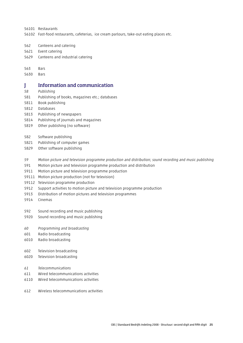56101 Restaurants

- 56102 Fast-food restaurants, cafeterias, ice cream parlours, take-out eating places etc.
- 562 Canteens and catering
- 5621 Event catering
- 5629 Canteens and industrial catering

#### 563 Bars

5630 Bars

#### J Information and communication

- *58 Publishing*
- 581 Publishing of books, magazines etc.; databases
- 5811 Book publishing
- 5812 Databases
- 5813 Publishing of newspapers
- 5814 Publishing of journals and magazines
- 5819 Other publishing (no software)
- 582 Software publishing
- 5821 Publishing of computer games
- 5829 Other software publishing
- *59 Motion picture and television programme production and distribution; sound recording and music publishing*
- 591 Motion picture and television programme production and distribution
- 5911 Motion picture and television programme production
- 59111 Motion picture production (not for television)
- 59112 Television programme production
- 5912 Support activities to motion picture and television programme production
- 5913 Distribution of motion pictures and television programmes
- 5914 Cinemas
- 592 Sound recording and music publishing
- 5920 Sound recording and music publishing
- *60 Programming and broadcasting*
- 601 Radio broadcasting
- 6010 Radio broadcasting
- 602 Television broadcasting
- 6020 Television broadcasting
- *61 Telecommunications*
- 611 Wired telecommunications activities
- 6110 Wired telecommunications activities
- 612 Wireless telecommunications activities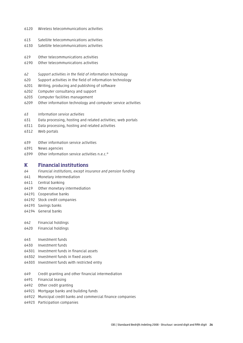- 6120 Wireless telecommunications activities
- 613 Satellite telecommunications activities
- 6130 Satellite telecommunications activities
- 619 Other telecommunications activities
- 6190 Other telecommunications activities
- *62 Support activities in the field of information technology*
- 620 Support activities in the field of information technology
- 6201 Writing, producing and publishing of software
- 6202 Computer consultancy and support
- 6203 Computer facilities management
- 6209 Other information technology and computer service activities
- *63 Information service activities*
- 631 Data processing, hosting and related activities; web portals
- 6311 Data processing, hosting and related activities
- 6312 Web portals
- 639 Other information service activities
- 6391 News agencies
- 6399 Other information service activities n.e.c.\*

#### K Financial institutions

- *64 Financial institutions, except insurance and pension funding*
- 641 Monetary intermediation
- 6411 Central banking
- 6419 Other monetary intermediation
- 64191 Cooperative banks
- 64192 Stock credit companies
- 64193 Savings banks
- 64194 General banks
- 642 Financial holdings
- 6420 Financial holdings
- 643 Investment funds
- 6430 Investment funds
- 64301 Investment funds in financial assets
- 64302 Investment funds in fixed assets
- 64303 Investment funds with restricted entry
- 649 Credit granting and other financial intermediation
- 6491 Financial leasing
- 6492 Other credit granting
- 64921 Mortgage banks and building funds
- 64922 Municipal credit banks and commercial finance companies
- 64923 Participation companies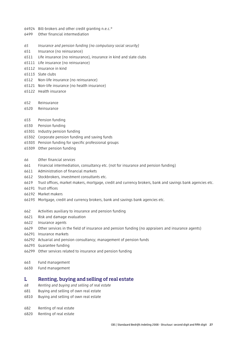- 64924 Bill-brokers and other credit granting n.e.c.\*
- 6499 Other financial intermediation
- *65 Insurance and pension funding (no compulsory social security)*
- 651 Insurance (no reinsurance)
- 6511 Life insurance (no reinsurance), insurance in kind and slate clubs
- 65111 Life insurance (no reinsurance)
- 65112 Insurance in kind
- 65113 Slate clubs
- 6512 Non-life insurance (no reinsurance)
- 65121 Non-life insurance (no health insurance)
- 65122 Health insurance
- 652 Reinsurance
- 6520 Reinsurance
- 653 Pension funding
- 6530 Pension funding
- 65301 Industry pension funding
- 65302 Corporate pension funding and saving funds
- 65303 Pension funding for specific professional groups
- 65309 Other pension funding
- *66 Other financial services*
- 661 Financial intermediation, consultancy etc. (not for insurance and pension funding)
- 6611 Administration of financial markets
- 6612 Stockbrokers, investment consultants etc.
- 6619 Trust offices, market makers, mortgage, credit and currency brokers, bank and savings bank agencies etc.
- 66191 Trust offices
- 66192 Market makers
- 66193 Mortgage, credit and currency brokers, bank and savings bank agencies etc.
- 662 Activities auxiliary to insurance and pension funding
- 6621 Risk and damage evaluation
- 6622 Insurance agents
- 6629 Other services in the field of insurance and pension funding (no appraisers and insurance agents)
- 66291 Insurance markets
- 66292 Actuarial and pension consultancy; management of pension funds
- 66293 Guarantee funding
- 66299 Other services related to insurance and pension funding
- 663 Fund management
- 6630 Fund management

#### L Renting, buying and selling of real estate

- *68 Renting and buying and selling of real estate*
- 681 Buying and selling of own real estate
- 6810 Buying and selling of own real estate
- 682 Renting of real estate
- 6820 Renting of real estate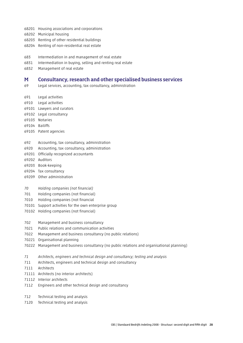- 68201 Housing associations and corporations
- 68202 Municipal housing
- 68203 Renting of other residential buildings
- 68204 Renting of non-residential real estate
- 683 Intermediation in and management of real estate
- 6831 Intermediation in buying, selling and renting real estate
- 6832 Management of real estate

#### M Consultancy, research and other specialised business services

- 69 Legal services, accounting, tax consultancy, administration
- 691 Legal activities
- 6910 Legal activities
- 69101 Lawyers and curators
- 69102 Legal consultancy
- 69103 Notaries
- 69104 Bailiffs
- 69105 Patent agencies
- 692 Accounting, tax consultancy, administration
- 6920 Accounting, tax consultancy, administration
- 69201 Officially recognized accountants
- 69202 Auditors
- 69203 Book-keeping
- 69204 Tax consultancy
- 69209 Other administration
- *70 Holding companies (not financial)*
- 701 Holding companies (not financial)
- 7010 Holding companies (not financial
- 70101 Support activities for the own enterprise group
- 70102 Holding companies (not financial)
- 702 Management and business consultancy
- 7021 Public relations and communication activities
- 7022 Management and business consultancy (no public relations)
- 70221 Organisational planning
- 70222 Management and business consultancy (no public relations and organisational planning)
- *71 Architects, engineers and technical design and consultancy; testing and analysis*
- 711 Architects, engineers and technical design and consultancy
- 7111 Architects
- 71111 Architects (no interior architects)
- 71112 Interior architects
- 7112 Engineers and other technical design and consultancy
- 712 Technical testing and analysis
- 7120 Technical testing and analysis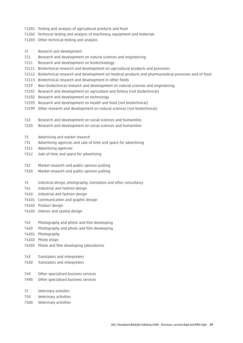- 71201 Testing and analysis of agricultural products and food
- 71202 Technical testing and analysis of machinery, equipment and materials
- 71203 Other technical testing and analysis
- *72 Research and development*
- 721 Research and development on natural sciences and engineering
- 7211 Research and development on biotechnology
- 72111 Biotechnical research and development on agricultural products and processes
- 72112 Biotechnical research and development on medical products and pharmaceutical processes and of food
- 72113 Biotechnical research and development in other fields
- 7219 Non-biotechnical research and development on natural sciences and engineering
- 72191 Research and development on agriculture and fishery (not biotechnical)
- 72192 Research and development on technology
- 72193 Research and development on health and food (not biotechnical)
- 72199 Other research and development on natural sciences (not biotechnical)
- 722 Research and development on social sciences and humanities
- 7220 Research and development on social sciences and humanities
- *73 Advertising and market research*
- 731 Advertising agencies and sale of time and space for advertising
- 7311 Advertising agencies
- 7312 Sale of time and space for advertising
- 732 Market research and public opinion polling
- 7320 Market research and public opinion polling
- *74 Industrial design, photography, translation and other consultancy*
- 741 Industrial and fashion design
- 7410 Industrial and fashion design
- 74101 Communication and graphic design
- 74102 Product design
- 74103 Interior and spatial design
- 742 Photography and photo and film developing
- 7420 Photography and photo and film developing
- 74201 Photography
- 74202 Photo shops
- 74203 Photo and film developing laboratories

#### 743 Translators and interpreters

- 7430 Translators and interpreters
- 749 Other specialised business services
- 7490 Other specialised business services
- *75 Veterinary activities*
- 750 Veterinary activities
- 7500 Veterinary activities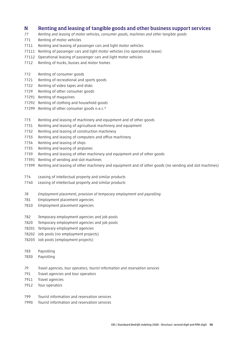#### N Renting and leasing of tangible goods and other business support services

- *77 Renting and leasing of motor vehicles, consumer goods, machines and other tangible goods*
- 771 Renting of motor vehicles
- 7711 Renting and leasing of passenger cars and light motor vehicles
- 77111 Renting of passenger cars and light motor vehicles (no operational lease)
- 77112 Operational leasing of passenger cars and light motor vehicles
- 7712 Renting of trucks, busses and motor homes
- 772 Renting of consumer goods
- 7721 Renting of recreational and sports goods
- 7722 Renting of video tapes and disks
- 7729 Renting of other consumer goods
- 77291 Renting of magazines
- 77292 Renting of clothing and household goods
- 77299 Renting of other consumer goods n.e.c.\*
- 773 Renting and leasing of machinery and equipment and of other goods
- 7731 Renting and leasing of agricultural machinery and equipment
- 7732 Renting and leasing of construction machinery
- 7733 Renting and leasing of computers and office machinery
- 7734 Renting and leasing of ships
- 7735 Renting and leasing of airplanes
- 7739 Renting and leasing of other machinery and equipment and of other goods
- 77391 Renting of vending and slot machines
- 77399 Renting and leasing of other machinery and equipment and of other goods (no vending and slot machines)
- 774 Leasing of intellectual property and similar products
- 7740 Leasing of intellectual property and similar products
- *78 Employment placement, provision of temporary employment and payrolling*
- 781 Employment placement agencies
- 7810 Employment placement agencies
- 782 Temporary employment agencies and job pools
- 7820 Temporary employment agencies and job pools
- 78201 Temporary employment agencies
- 78202 Job pools (no employment projects)
- 78203 Job pools (employment projects)
- 783 Payrolling
- 7830 Payrolling
- *79 Travel agencies, tour operators, tourist information and reservation services*
- 791 Travel agencies and tour operators
- 7911 Travel agencies
- 7912 Tour operators
- 799 Tourist information and reservation services
- 7990 Tourist information and reservation services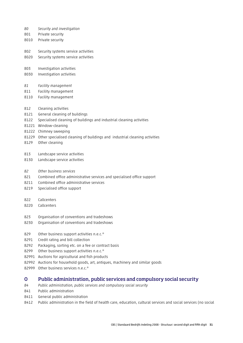- *80 Security and investigation*
- 801 Private security
- 8010 Private security
- 802 Security systems service activities
- 8020 Security systems service activities
- 803 Investigation activities
- 8030 Investigation activities
- *81 Facility management*
- 811 Facility management
- 8110 Facility management
- 812 Cleaning activities
- 8121 General cleaning of buildings
- 8122 Specialised cleaning of buildings and industrial cleaning activities
- 81221 Window-cleaning
- 81222 Chimney sweeping
- 81229 Other specialised cleaning of buildings and industrial cleaning activities
- 8129 Other cleaning
- 813 Landscape service activities
- 8130 Landscape service activities
- *82 Other business services*
- 821 Combined office administrative services and specialised office support
- 8211 Combined office administrative services
- 8219 Specialised office support
- 822 Callcenters
- 8220 Callcenters
- 823 Organisation of conventions and tradeshows
- 8230 Organisation of conventions and tradeshows
- 829 Other business support activities n.e.c.\*
- 8291 Credit rating and bill collection
- 8292 Packaging, sorting etc. on a fee or contract basis
- 8299 Other business support activities n.e.c.\*
- 82991 Auctions for agricultural and fish products
- 82992 Auctions for household goods, art, antiques, machinery and similar goods
- 82999 Other business services n.e.c.\*

#### O Public administration, public services and compulsory social security

- *84 Public administration, public services and compulsory social security*
- 841 Public administration
- 8411 General public administration
- 8412 Public administration in the field of health care, education, cultural services and social services (no social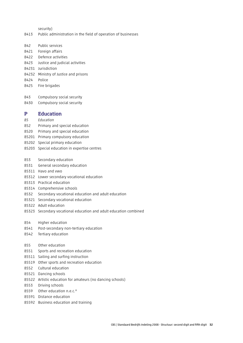security)

- 8413 Public administration in the field of operation of businesses
- 842 Public services
- 8421 Foreign affairs
- 8422 Defence activities
- 8423 Justice and judicial activities
- 84231 Jurisdiction
- 84232 Ministry of Justice and prisons
- 8424 Police
- 8425 Fire brigades
- 843 Compulsory social security
- 8430 Compulsory social security

#### P Education

- *85 Education*
- 852 Primary and special education
- 8520 Primary and special education
- 85201 Primary compulsory education
- 85202 Special primary education
- 85203 Special education in expertise centres
- 853 Secondary education
- 8531 General secondary education
- 85311 Havo and vwo
- 85312 Lower secondary vocational education
- 85313 Practical education
- 85314 Comprehensive schools
- 8532 Secondary vocational education and adult education
- 85321 Secondary vocational education
- 85322 Adult education
- 85323 Secondary vocational education and adult education combined
- 854 Higher education
- 8541 Post-secondary non-tertiary education
- 8542 Tertiary education
- 855 Other education
- 8551 Sports and recreation education
- 85511 Sailing and surfing instruction
- 85519 Other sports and recreation education
- 8552 Cultural education
- 85521 Dancing schools
- 85522 Artistic education for amateurs (no dancing schools)
- 8553 Driving schools
- 8559 Other education n.e.c.\*
- 85591 Distance education
- 85592 Business education and training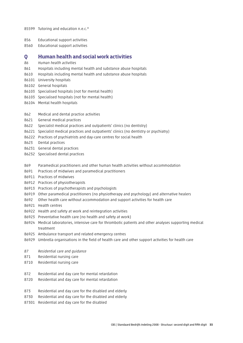- 85599 Tutoring and education n.e.c.\*
- 856 Educational support activities
- 8560 Educational support activities

#### Q Human health and social work activities

- *86 Human health activities*
- 861 Hospitals including mental health and substance abuse hospitals
- 8610 Hospitals including mental health and substance abuse hospitals
- 86101 University hospitals
- 86102 General hospitals
- 86103 Specialised hospitals (not for mental health)
- 86103 Specialised hospitals (not for mental health)
- 86104 Mental health hospitals
- 862 Medical and dental practice activities
- 8621 General medical practices
- 8622 Specialist medical practices and outpatients' clinics (no dentistry)
- 86221 Specialist medical practices and outpatients' clinics (no dentistry or psychiatry)
- 86222 Practices of psychiatrists and day-care centres for social health
- 8623 Dental practices
- 86231 General dental practices
- 86232 Specialised dental practices
- 869 Paramedical practitioners and other human health activities without accommodation
- 8691 Practices of midwives and paramedical practitioners
- 86911 Practices of midwives
- 86912 Practices of physiotherapists
- 86913 Practices of psychotherapists and psychologists
- 86919 Other paramedical practitioners (no physiotherapy and psychology) and alternative healers
- 8692 Other health care without accommodation and support activities for health care
- 86921 Health centres
- 86922 Health and safety at work and reintegration activities
- 86923 Preventative health care (no health and safety at work)
- 86924 Medical laboratories, intensive care for thrombotic patients and other analyses supporting medical treatment
- 86925 Ambulance transport and related emergency centres
- 86929 Umbrella organisations in the field of health care and other support activities for health care
- *87 Residential care and guidance*
- 871 Residential nursing care
- 8710 Residential nursing care
- 872 Residential and day care for mental retardation
- 8720 Residential and day care for mental retardation
- 873 Residential and day care for the disabled and elderly
- 8730 Residential and day care for the disabled and elderly
- 87301 Residential and day care for the disabled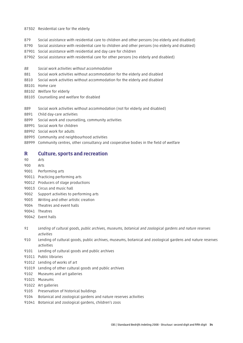#### 87302 Residential care for the elderly

879 Social assistance with residential care to children and other persons (no elderly and disabled)

- 8790 Social assistance with residential care to children and other persons (no elderly and disabled)
- 87901 Social assistance with residential and day care for children
- 87902 Social assistance with residential care for other persons (no elderly and disabled)
- *88 Social work activities without accommodation*
- 881 Social work activities without accommodation for the elderly and disabled
- 8810 Social work activities without accommodation for the elderly and disabled
- 88101 Home care
- 88102 Welfare for elderly
- 88103 Counselling and welfare for disabled
- 889 Social work activities without accommodation (not for elderly and disabled)
- 8891 Child day-care activities
- 8899 Social work and counselling, community activities
- 88991 Social work for children
- 88992 Social work for adults
- 88993 Community and neighbourhood activities
- 88999 Community centres, other consultancy and cooperative bodies in the field of welfare

#### R Culture, sports and recreation

- *90 Arts*
- 900 Arts
- 9001 Performing arts
- 90011 Practicing performing arts
- 90012 Producers of stage productions
- 90013 Circus and music hall
- 9002 Support activities to performing arts
- 9003 Writing and other artistic creation
- 9004 Theatres and event halls
- 90041 Theatres
- 90042 Event halls
- *91 Lending of cultural goods, public archives, museums, botanical and zoological gardens and nature reserves activities*
- 910 Lending of cultural goods, public archives, museums, botanical and zoological gardens and nature reserves activities
- 9101 Lending of cultural goods and public archives
- 91011 Public libraries
- 91012 Lending of works of art
- 91019 Lending of other cultural goods and public archives
- 9102 Museums and art galleries
- 91021 Museums
- 91022 Art galleries
- 9103 Preservation of historical buildings
- 9104 Botanical and zoological gardens and nature reserves activities
- 91041 Botanical and zoological gardens, children's zoos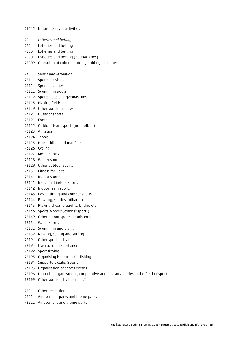*92 Lotteries and betting* 920 Lotteries and betting 9200 Lotteries and betting 92001 Lotteries and betting (no machines) 92009 Operation of coin operated gambling machines *93 Sports and recreation* 931 Sports activities 9311 Sports facilities 93111 Swimming pools 93112 Sports halls and gymnasiums 93113 Playing fields 93119 Other sports facilities 9312 Outdoor sports 93121 Football 93122 Outdoor team sports (no football) 93123 Athletics 93124 Tennis 93125 Horse riding and manèges 93126 Cycling 93127 Motor sports 93128 Winter sports 93129 Other outdoor sports 9313 Fitness facilities 9314 Indoor sports 93141 Individual indoor sports 93142 Indoor team sports 93143 Power lifting and combat sports 93144 Bowling, skittles, billiards etc. 93145 Playing chess, draughts, bridge etc 93146 Sports schools (combat sports) 93149 Other indoor sports, omnisports 9315 Water sports 93151 Swimming and diving 93152 Rowing, sailing and surfing 9319 Other sports activities 93191 Own account sportsmen 93192 Sport fishing 93193 Organising boat trips for fishing 93194 Supporters clubs (sports)

91042 Nature reserves activities

- 93195 Organisation of sports events
- 93196 Umbrella organizations, cooperative and advisory bodies in the field of sports
- 93199 Other sports activities n.e.c.\*
- 932 Other recreation
- 9321 Amusement parks and theme parks
- 93211 Amusement and theme parks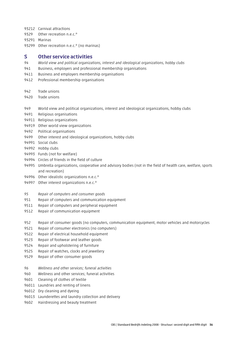93212 Carnival attractions

9329 Other recreation n.e.c.\*

93291 Marinas

93299 Other recreation n.e.c.\* (no marinas)

#### S Other service activities

- *94 World view and political organizations, interest and ideological organizations, hobby clubs*
- 941 Business, employers and professional membership organisations
- 9411 Business and employers membership organisations
- 9412 Professional membership organisations
- 942 Trade unions
- 9420 Trade unions
- 949 World view and political organizations, interest and ideological organizations, hobby clubs
- 9491 Religious organisations
- 94911 Religious organizations
- 94919 Other world view organizations
- 9492 Political organisations
- 9499 Other interest and ideological organizations, hobby clubs
- 94991 Social clubs
- 94992 Hobby clubs
- 94993 Funds (not for welfare)
- 94994 Circles of friends in the field of culture
- 94995 Umbrella organizations, cooperative and advisory bodies (not in the field of health care, welfare, sports and recreation)
- 94996 Other idealistic organizations n.e.c.\*
- 94997 Other interest organizations n.e.c.\*
- *95 Repair of computers and consumer goods*
- 951 Repair of computers and communication equipment
- 9511 Repair of computers and peripheral equipment
- 9512 Repair of communication equipment
- 952 Repair of consumer goods (no computers, communication equipment, motor vehicles and motorcycles
- 9521 Repair of consumer electronics (no computers)
- 9522 Repair of electrical household equipment
- 9523 Repair of footwear and leather goods
- 9524 Repair and upholstering of furniture
- 9525 Repair of watches, clocks and jewellery
- 9529 Repair of other consumer goods
- *96 Wellness and other services; funeral activities*
- 960 Wellness and other services; funeral activities
- 9601 Cleaning of clothes of textile
- 96011 Laundries and renting of linens
- 96012 Dry cleaning and dyeing
- 96013 Launderettes and laundry collection and delivery
- 9602 Hairdressing and beauty treatment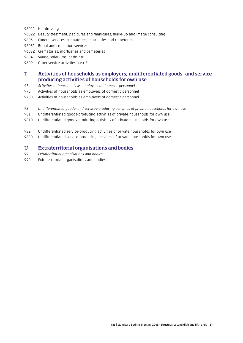- 96021 Hairdressing
- 96022 Beauty treatment, pedicures and manicures, make-up and image consulting
- 9603 Funeral services, crematories, mortuaries and cemeteries
- 96031 Burial and cremation services
- 96032 Crematories, mortuaries and cemeteries
- 9604 Sauna, solariums, baths etc
- 9609 Other service activities n.e.c.\*

## T Activities of households as employers; undifferentiated goods- and serviceproducing activities of households for own use

- *97 Activities of households as employers of domestic personnel*
- 970 Activities of households as employers of domestic personnel
- 9700 Activities of households as employers of domestic personnel
- *98 Undifferentiated goods- and services-producing activities of private households for own use*
- 981 Undifferentiated goods-producing activities of private households for own use
- 9810 Undifferentiated goods-producing activities of private households for own use
- 982 Undifferentiated service-producing activities of private households for own use
- 9820 Undifferentiated service-producing activities of private households for own use

#### U Extraterritorial organisations and bodies

- *99 Extraterritorial organisations and bodies*
- 990 Extraterritorial organisations and bodies